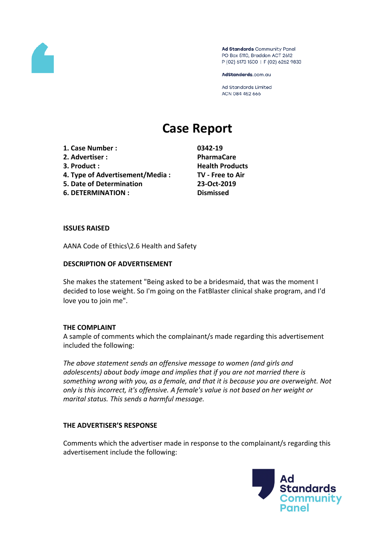

Ad Standards Community Panel PO Box 5110, Braddon ACT 2612 P (02) 6173 1500 | F (02) 6262 9833

AdStandards.com.au

Ad Standards Limited ACN 084 452 666

# **Case Report**

- **1. Case Number : 0342-19**
- **2. Advertiser : PharmaCare**
- 
- **4. Type of Advertisement/Media : TV - Free to Air**
- **5. Date of Determination 23-Oct-2019**
- **6. DETERMINATION : Dismissed**

**3. Product : Health Products**

#### **ISSUES RAISED**

AANA Code of Ethics\2.6 Health and Safety

#### **DESCRIPTION OF ADVERTISEMENT**

She makes the statement "Being asked to be a bridesmaid, that was the moment I decided to lose weight. So I'm going on the FatBlaster clinical shake program, and I'd love you to join me".

#### **THE COMPLAINT**

A sample of comments which the complainant/s made regarding this advertisement included the following:

*The above statement sends an offensive message to women (and girls and adolescents) about body image and implies that if you are not married there is something wrong with you, as a female, and that it is because you are overweight. Not only is this incorrect, it's offensive. A female's value is not based on her weight or marital status. This sends a harmful message.*

#### **THE ADVERTISER'S RESPONSE**

Comments which the advertiser made in response to the complainant/s regarding this advertisement include the following:

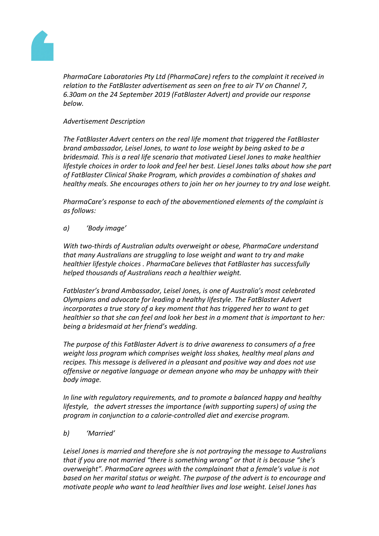

*PharmaCare Laboratories Pty Ltd (PharmaCare) refers to the complaint it received in relation to the FatBlaster advertisement as seen on free to air TV on Channel 7, 6.30am on the 24 September 2019 (FatBlaster Advert) and provide our response below.*

#### *Advertisement Description*

*The FatBlaster Advert centers on the real life moment that triggered the FatBlaster brand ambassador, Leisel Jones, to want to lose weight by being asked to be a bridesmaid. This is a real life scenario that motivated Liesel Jones to make healthier lifestyle choices in order to look and feel her best. Liesel Jones talks about how she part of FatBlaster Clinical Shake Program, which provides a combination of shakes and healthy meals. She encourages others to join her on her journey to try and lose weight.*

*PharmaCare's response to each of the abovementioned elements of the complaint is as follows:*

*a) 'Body image'*

*With two-thirds of Australian adults overweight or obese, PharmaCare understand that many Australians are struggling to lose weight and want to try and make healthier lifestyle choices . PharmaCare believes that FatBlaster has successfully helped thousands of Australians reach a healthier weight.* 

*Fatblaster's brand Ambassador, Leisel Jones, is one of Australia's most celebrated Olympians and advocate for leading a healthy lifestyle. The FatBlaster Advert incorporates a true story of a key moment that has triggered her to want to get healthier so that she can feel and look her best in a moment that is important to her: being a bridesmaid at her friend's wedding.*

*The purpose of this FatBlaster Advert is to drive awareness to consumers of a free weight loss program which comprises weight loss shakes, healthy meal plans and recipes. This message is delivered in a pleasant and positive way and does not use offensive or negative language or demean anyone who may be unhappy with their body image.*

*In line with regulatory requirements, and to promote a balanced happy and healthy lifestyle, the advert stresses the importance (with supporting supers) of using the program in conjunction to a calorie-controlled diet and exercise program.*

*b) 'Married'*

*Leisel Jones is married and therefore she is not portraying the message to Australians that if you are not married "there is something wrong" or that it is because "she's overweight". PharmaCare agrees with the complainant that a female's value is not based on her marital status or weight. The purpose of the advert is to encourage and motivate people who want to lead healthier lives and lose weight. Leisel Jones has*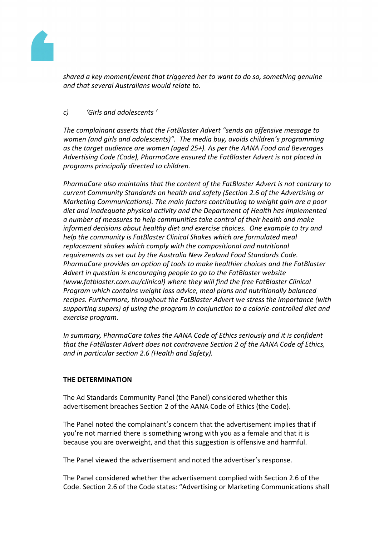

*shared a key moment/event that triggered her to want to do so, something genuine and that several Australians would relate to.*

## *c) 'Girls and adolescents '*

*The complainant asserts that the FatBlaster Advert "sends an offensive message to women (and girls and adolescents)". The media buy, avoids children's programming as the target audience are women (aged 25+). As per the AANA Food and Beverages Advertising Code (Code), PharmaCare ensured the FatBlaster Advert is not placed in programs principally directed to children.*

*PharmaCare also maintains that the content of the FatBlaster Advert is not contrary to current Community Standards on health and safety (Section 2.6 of the Advertising or Marketing Communications). The main factors contributing to weight gain are a poor diet and inadequate physical activity and the Department of Health has implemented a number of measures to help communities take control of their health and make informed decisions about healthy diet and exercise choices. One example to try and help the community is FatBlaster Clinical Shakes which are formulated meal replacement shakes which comply with the compositional and nutritional requirements as set out by the Australia New Zealand Food Standards Code. PharmaCare provides an option of tools to make healthier choices and the FatBlaster Advert in question is encouraging people to go to the FatBlaster website (www.fatblaster.com.au/clinical) where they will find the free FatBlaster Clinical Program which contains weight loss advice, meal plans and nutritionally balanced recipes. Furthermore, throughout the FatBlaster Advert we stress the importance (with supporting supers) of using the program in conjunction to a calorie-controlled diet and exercise program.*

*In summary, PharmaCare takes the AANA Code of Ethics seriously and it is confident that the FatBlaster Advert does not contravene Section 2 of the AANA Code of Ethics, and in particular section 2.6 (Health and Safety).*

### **THE DETERMINATION**

The Ad Standards Community Panel (the Panel) considered whether this advertisement breaches Section 2 of the AANA Code of Ethics (the Code).

The Panel noted the complainant's concern that the advertisement implies that if you're not married there is something wrong with you as a female and that it is because you are overweight, and that this suggestion is offensive and harmful.

The Panel viewed the advertisement and noted the advertiser's response.

The Panel considered whether the advertisement complied with Section 2.6 of the Code. Section 2.6 of the Code states: "Advertising or Marketing Communications shall